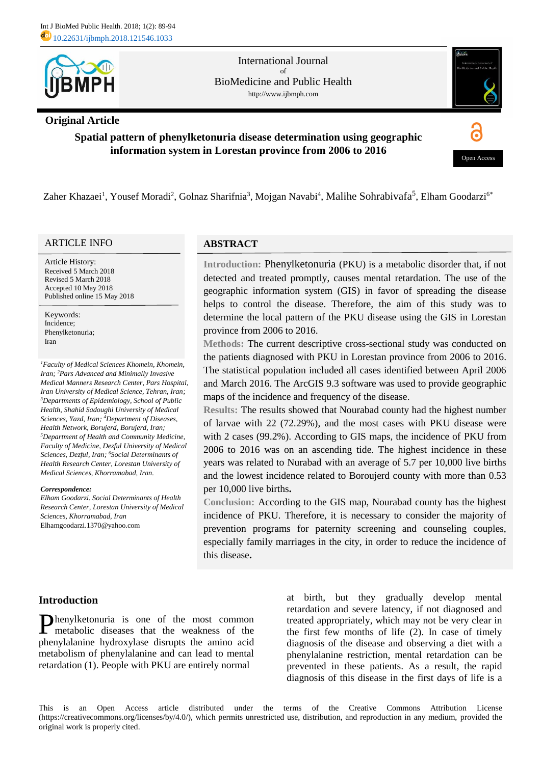

# **Original Article**

### International Journal of BioMedicine and Public Health http://www.ijbmph.com



# **Spatial pattern of phenylketonuria disease determination using geographic information system in Lorestan province from 2006 to 2016**



Zaher Khazaei<sup>1</sup>, Yousef Moradi<sup>2</sup>, Golnaz Sharifnia<sup>3</sup>, Mojgan Navabi<sup>4</sup>, Malihe Sohrabivafa<sup>5</sup>, Elham Goodarzi<sup>6\*</sup>

## ARTICLE INFO

Article History: Received 5 March 2018 Revised 5 March 2018 Accepted 10 May 2018 Published online 15 May 2018

Keywords: Incidence; Phenylketonuria; Iran

*Faculty of Medical Sciences Khomein, Khomein, <sup>1</sup> Pars Advanced and Minimally Invasive <sup>2</sup> Iran; Medical Manners Research Center, Pars Hospital, Iran University of Medical Science, Tehran, Iran; Departments of Epidemiology, School of Public <sup>3</sup> Health, Shahid Sadoughi University of Medical Sciences, Yazd, Iran;*<sup>4</sup>Department of Diseases, *Health Network, Borujerd, Borujerd, Iran; Department of Health and Community Medicine, <sup>5</sup> Faculty of Medicine, Dezful University of Medical Social Determinants of <sup>6</sup> Sciences, Dezful, Iran; Health Research Center, Lorestan University of Medical Sciences, Khorramabad, Iran.*

#### *Correspondence:*

*Elham Goodarzi. Social Determinants of Health Research Center, Lorestan University of Medical Sciences, Khorramabad, Iran* [Elhamgoodarzi.1370@yahoo.com](mailto:Elhamgoodarzi.1370@yahoo.com)

# **ABSTRACT**

**Introduction:** Phenylketonuria (PKU) is a metabolic disorder that, if not detected and treated promptly, causes mental retardation. The use of the geographic information system (GIS) in favor of spreading the disease helps to control the disease. Therefore, the aim of this study was to determine the local pattern of the PKU disease using the GIS in Lorestan province from 2006 to 2016.

**Methods:** The current descriptive cross-sectional study was conducted on the patients diagnosed with PKU in Lorestan province from 2006 to 2016. The statistical population included all cases identified between April 2006 and March 2016. The ArcGIS 9.3 software was used to provide geographic maps of the incidence and frequency of the disease.

**Results:** The results showed that Nourabad county had the highest number of larvae with 22 (72.29%), and the most cases with PKU disease were with 2 cases (99.2%). According to GIS maps, the incidence of PKU from 2006 to 2016 was on an ascending tide. The highest incidence in these years was related to Nurabad with an average of 5.7 per 10,000 live births and the lowest incidence related to Boroujerd county with more than 0.53 per 10,000 live births**.**

**Conclusion:** According to the GIS map, Nourabad county has the highest incidence of PKU. Therefore, it is necessary to consider the majority of prevention programs for paternity screening and counseling couples, especially family marriages in the city, in order to reduce the incidence of this disease**.**

# **Introduction**

Phenylketonuria is one of the most common metabolic diseases that the weakness of the metabolic diseases that the weakness of the phenylalanine hydroxylase disrupts the amino acid metabolism of phenylalanine and can lead to mental retardation (1). People with PKU are entirely normal

at birth, but they gradually develop mental retardation and severe latency, if not diagnosed and treated appropriately, which may not be very clear in the first few months of life (2). In case of timely diagnosis of the disease and observing a diet with a phenylalanine restriction, mental retardation can be prevented in these patients. As a result, the rapid diagnosis of this disease in the first days of life is a

This is an Open Access article distributed under the terms of the Creative Commons Attribution License (https://creativecommons.org/licenses/by/4.0/), which permits unrestricted use, distribution, and reproduction in any medium, provided the original work is properly cited.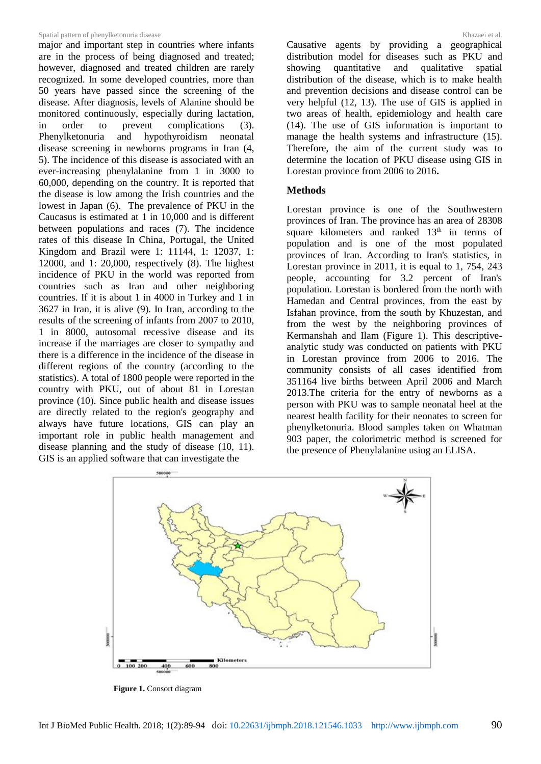#### Spatial pattern of phenylketonuria disease Spatial pattern of phenylketonuria disease Spatial pattern of phenylketonuria disease Spatial pattern of phenylketonuria disease Spatial pattern of phenylketonuria disease Spatial

major and important step in countries where infants are in the process of being diagnosed and treated; however, diagnosed and treated children are rarely recognized. In some developed countries, more than 50 years have passed since the screening of the disease. After diagnosis, levels of Alanine should be monitored continuously, especially during lactation, in order to prevent complications (3). Phenylketonuria and hypothyroidism neonatal disease screening in newborns programs in Iran (4, 5). The incidence of this disease is associated with an ever-increasing phenylalanine from 1 in 3000 to 60,000, depending on the country. It is reported that the disease is low among the Irish countries and the lowest in Japan (6). The prevalence of PKU in the Caucasus is estimated at 1 in 10,000 and is different between populations and races (7). The incidence rates of this disease In China, Portugal, the United Kingdom and Brazil were 1: 11144, 1: 12037, 1: 12000, and 1: 20,000, respectively (8). The highest incidence of PKU in the world was reported from countries such as Iran and other neighboring countries. If it is about 1 in 4000 in Turkey and 1 in 3627 in Iran, it is alive (9). In Iran, according to the results of the screening of infants from 2007 to 2010, 1 in 8000, autosomal recessive disease and its increase if the marriages are closer to sympathy and there is a difference in the incidence of the disease in different regions of the country (according to the statistics). A total of 1800 people were reported in the country with PKU, out of about 81 in Lorestan province (10). Since public health and disease issues are directly related to the region's geography and always have future locations, GIS can play an important role in public health management and disease planning and the study of disease (10, 11). GIS is an applied software that can investigate the

Causative agents by providing a geographical distribution model for diseases such as PKU and showing quantitative and qualitative spatial distribution of the disease, which is to make health and prevention decisions and disease control can be very helpful (12, 13). The use of GIS is applied in two areas of health, epidemiology and health care (14). The use of GIS information is important to manage the health systems and infrastructure (15). Therefore, the aim of the current study was to determine the location of PKU disease using GIS in Lorestan province from 2006 to 2016**.**

### **Methods**

Lorestan province is one of the Southwestern provinces of Iran. The province has an area of 28308 square kilometers and ranked  $13<sup>th</sup>$  in terms of population and is one of the most populated provinces of Iran. According to Iran's statistics, in Lorestan province in 2011, it is equal to 1, 754, 243 people, accounting for 3.2 percent of Iran's population. Lorestan is bordered from the north with Hamedan and Central provinces, from the east by Isfahan province, from the south by Khuzestan, and from the west by the neighboring provinces of Kermanshah and Ilam (Figure 1). This descriptiveanalytic study was conducted on patients with PKU in Lorestan province from 2006 to 2016. The community consists of all cases identified from 351164 live births between April 2006 and March 2013.The criteria for the entry of newborns as a person with PKU was to sample neonatal heel at the nearest health facility for their neonates to screen for phenylketonuria. Blood samples taken on Whatman 903 paper, the colorimetric method is screened for the presence of Phenylalanine using an ELISA.



**Figure 1.** Consort diagram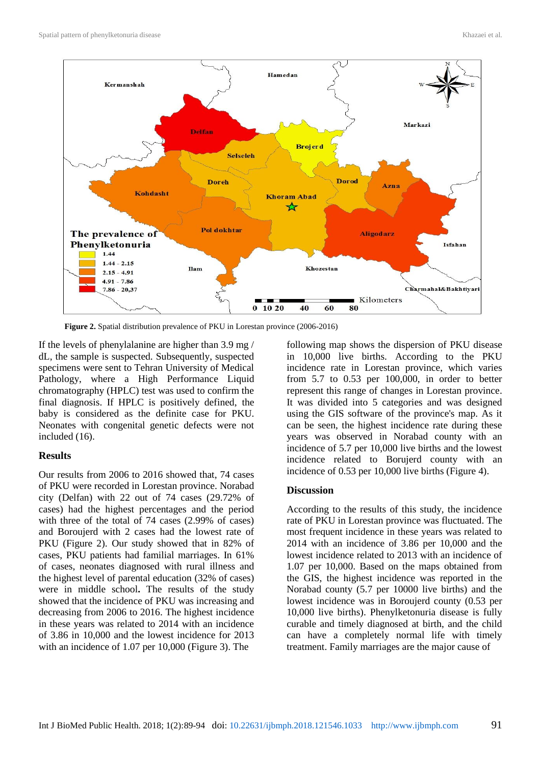

**Figure 2.** Spatial distribution prevalence of PKU in Lorestan province (2006-2016)

If the levels of phenylalanine are higher than 3.9 mg / dL, the sample is suspected. Subsequently, suspected specimens were sent to Tehran University of Medical Pathology, where a High Performance Liquid chromatography (HPLC) test was used to confirm the final diagnosis. If HPLC is positively defined, the baby is considered as the definite case for PKU. Neonates with congenital genetic defects were not included (16).

# **Results**

Our results from 2006 to 2016 showed that, 74 cases of PKU were recorded in Lorestan province. Norabad city (Delfan) with 22 out of 74 cases (29.72% of cases) had the highest percentages and the period with three of the total of 74 cases (2.99% of cases) and Boroujerd with 2 cases had the lowest rate of PKU (Figure 2). Our study showed that in 82% of cases, PKU patients had familial marriages. In 61% of cases, neonates diagnosed with rural illness and the highest level of parental education (32% of cases) were in middle school**.** The results of the study showed that the incidence of PKU was increasing and decreasing from 2006 to 2016. The highest incidence in these years was related to 2014 with an incidence of 3.86 in 10,000 and the lowest incidence for 2013 with an incidence of 1.07 per 10,000 (Figure 3). The

following map shows the dispersion of PKU disease in 10,000 live births. According to the PKU incidence rate in Lorestan province, which varies from 5.7 to 0.53 per 100,000, in order to better represent this range of changes in Lorestan province. It was divided into 5 categories and was designed using the GIS software of the province's map. As it can be seen, the highest incidence rate during these years was observed in Norabad county with an incidence of 5.7 per 10,000 live births and the lowest incidence related to Borujerd county with an incidence of 0.53 per 10,000 live births (Figure 4).

# **Discussion**

According to the results of this study, the incidence rate of PKU in Lorestan province was fluctuated. The most frequent incidence in these years was related to 2014 with an incidence of 3.86 per 10,000 and the lowest incidence related to 2013 with an incidence of 1.07 per 10,000. Based on the maps obtained from the GIS, the highest incidence was reported in the Norabad county (5.7 per 10000 live births) and the lowest incidence was in Boroujerd county (0.53 per 10,000 live births). Phenylketonuria disease is fully curable and timely diagnosed at birth, and the child can have a completely normal life with timely treatment. Family marriages are the major cause of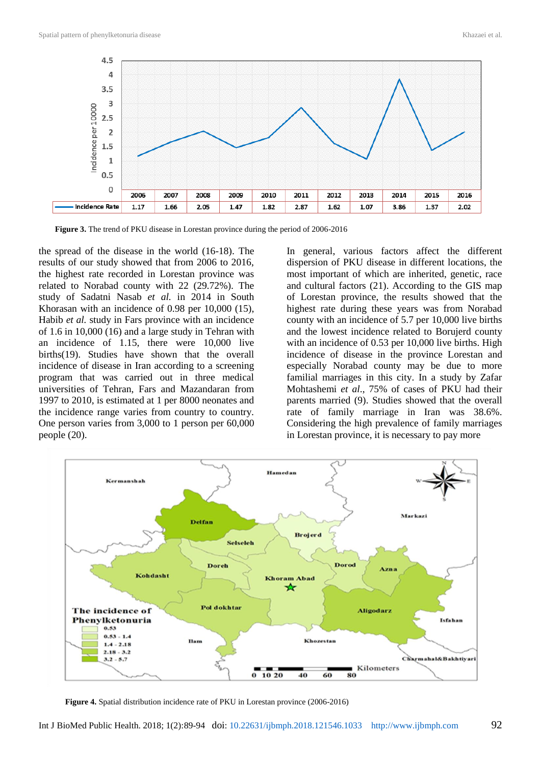

**Figure 3.** The trend of PKU disease in Lorestan province during the period of 2006-2016

the spread of the disease in the world (16-18). The results of our study showed that from 2006 to 2016, the highest rate recorded in Lorestan province was related to Norabad county with 22 (29.72%). The study of Sadatni Nasab *et al.* in 2014 in South Khorasan with an incidence of 0.98 per 10,000 (15), Habib *et al.* study in Fars province with an incidence of 1.6 in 10,000 (16) and a large study in Tehran with an incidence of 1.15, there were 10,000 live births(19). Studies have shown that the overall incidence of disease in Iran according to a screening program that was carried out in three medical universities of Tehran, Fars and Mazandaran from 1997 to 2010, is estimated at 1 per 8000 neonates and the incidence range varies from country to country. One person varies from 3,000 to 1 person per 60,000 people (20).

In general, various factors affect the different dispersion of PKU disease in different locations, the most important of which are inherited, genetic, race and cultural factors (21). According to the GIS map of Lorestan province, the results showed that the highest rate during these years was from Norabad county with an incidence of 5.7 per 10,000 live births and the lowest incidence related to Borujerd county with an incidence of 0.53 per 10,000 live births. High incidence of disease in the province Lorestan and especially Norabad county may be due to more familial marriages in this city. In a study by Zafar Mohtashemi *et al*., 75% of cases of PKU had their parents married (9). Studies showed that the overall rate of family marriage in Iran was 38.6%. Considering the high prevalence of family marriages in Lorestan province, it is necessary to pay more



**Figure 4.** Spatial distribution incidence rate of PKU in Lorestan province (2006-2016)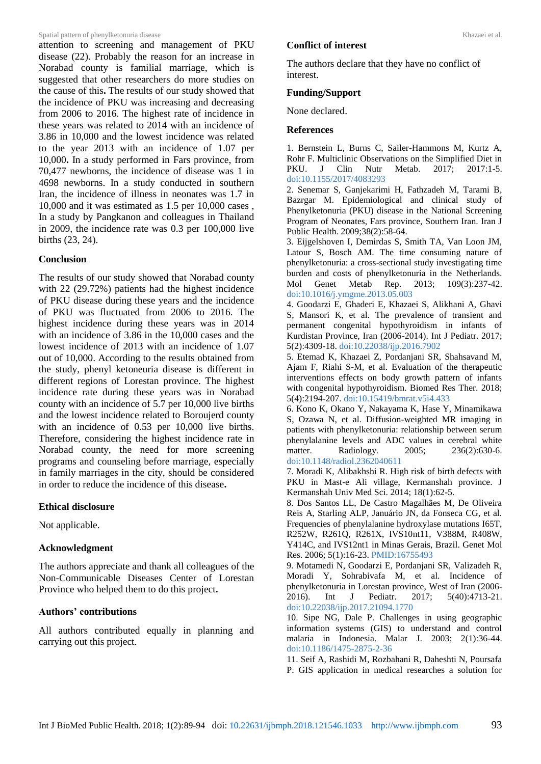#### Spatial pattern of phenylketonuria disease Spatial pattern of phenylketonuria disease Spatial pattern of phenylketonuria disease Spatial pattern of phenylketonuria disease Spatial pattern of phenylketonuria disease Spatial

attention to screening and management of PKU disease (22). Probably the reason for an increase in Norabad county is familial marriage, which is suggested that other researchers do more studies on the cause of this**.** The results of our study showed that the incidence of PKU was increasing and decreasing from 2006 to 2016. The highest rate of incidence in these years was related to 2014 with an incidence of 3.86 in 10,000 and the lowest incidence was related to the year 2013 with an incidence of 1.07 per 10,000**.** In a study performed in Fars province, from 70,477 newborns, the incidence of disease was 1 in 4698 newborns. In a study conducted in southern Iran, the incidence of illness in neonates was 1.7 in 10,000 and it was estimated as 1.5 per 10,000 cases , In a study by Pangkanon and colleagues in Thailand in 2009, the incidence rate was 0.3 per 100,000 live births (23, 24).

### **Conclusion**

The results of our study showed that Norabad county with 22 (29.72%) patients had the highest incidence of PKU disease during these years and the incidence of PKU was fluctuated from 2006 to 2016. The highest incidence during these years was in 2014 with an incidence of 3.86 in the 10,000 cases and the lowest incidence of 2013 with an incidence of 1.07 out of 10,000. According to the results obtained from the study, phenyl ketoneuria disease is different in different regions of Lorestan province. The highest incidence rate during these years was in Norabad county with an incidence of 5.7 per 10,000 live births and the lowest incidence related to Boroujerd county with an incidence of 0.53 per 10,000 live births. Therefore, considering the highest incidence rate in Norabad county, the need for more screening programs and counseling before marriage, especially in family marriages in the city, should be considered in order to reduce the incidence of this disease**.**

### **Ethical disclosure**

Not applicable.

### **Acknowledgment**

The authors appreciate and thank all colleagues of the Non-Communicable Diseases Center of Lorestan Province who helped them to do this project**.**

# **Authors' contributions**

All authors contributed equally in planning and carrying out this project.

### **Conflict of interest**

The authors declare that they have no conflict of interest.

#### **Funding/Support**

None declared.

#### **References**

1. Bernstein L, Burns C, Sailer-Hammons M, Kurtz A, Rohr F. Multiclinic Observations on the Simplified Diet in PKU. J Clin Nutr Metab. 2017; 2017:1-5. doi:10.1155/2017/4083293

2. Senemar S, Ganjekarimi H, Fathzadeh M, Tarami B, Bazrgar M. Epidemiological and clinical study of Phenylketonuria (PKU) disease in the National Screening Program of Neonates, Fars province, Southern Iran. Iran J Public Health. 2009;38(2):58-64.

3. Eijgelshoven I, Demirdas S, Smith TA, Van Loon JM, Latour S, Bosch AM. The time consuming nature of phenylketonuria: a cross-sectional study investigating time burden and costs of phenylketonuria in the Netherlands. Mol Genet Metab Rep. 2013; 109(3):237-42. [doi:10.1016/j.ymgme.2013.05.003](https://doi.org/10.1016/j.ymgme.2013.05.003)

4. Goodarzi E, Ghaderi E, Khazaei S, Alikhani A, Ghavi S, Mansori K, et al. The prevalence of transient and permanent congenital hypothyroidism in infants of Kurdistan Province, Iran (2006-2014). Int J Pediatr. 2017; 5(2):4309-18. doi[:10.22038/ijp.2016.7902](http://dx.doi.org/10.22038/ijp.2016.7902)

5. Etemad K, Khazaei Z, Pordanjani SR, Shahsavand M, Ajam F, Riahi S-M, et al. Evaluation of the therapeutic interventions effects on body growth pattern of infants with congenital hypothyroidism. Biomed Res Ther. 2018; 5(4):2194-207. [doi:10.15419/bmrat.v5i4.433](https://doi.org/10.15419/bmrat.v5i4.433) 

6. Kono K, Okano Y, Nakayama K, Hase Y, Minamikawa S, Ozawa N, et al. Diffusion-weighted MR imaging in patients with phenylketonuria: relationship between serum phenylalanine levels and ADC values in cerebral white matter. Radiology. 2005; 236(2):630-6. [doi:10.1148/radiol.2362040611](https://doi.org/10.1148/radiol.2362040611)

7. Moradi K, Alibakhshi R. High risk of birth defects with PKU in Mast-e Ali village, Kermanshah province. J Kermanshah Univ Med Sci. 2014; 18(1):62-5.

8. Dos Santos LL, De Castro Magalhães M, De Oliveira Reis A, Starling ALP, Januário JN, da Fonseca CG, et al. Frequencies of phenylalanine hydroxylase mutations I65T, R252W, R261Q, R261X, IVS10nt11, V388M, R408W, Y414C, and IVS12nt1 in Minas Gerais, Brazil. Genet Mol Res. 2006; 5(1):16-23. PMID:16755493

9. Motamedi N, Goodarzi E, Pordanjani SR, Valizadeh R, Moradi Y, Sohrabivafa M, et al. Incidence of phenylketonuria in Lorestan province, West of Iran (2006- 2016). Int J Pediatr. 2017; 5(40):4713-21. doi:10.22038/ijp.2017.21094.1770

10. Sipe NG, Dale P. Challenges in using geographic information systems (GIS) to understand and control malaria in Indonesia. Malar J. 2003; 2(1):36-44. [doi:10.1186/1475-2875-2-36](https://doi.org/10.1186/1475-2875-2-36)

11. Seif A, Rashidi M, Rozbahani R, Daheshti N, Poursafa P. GIS application in medical researches a solution for